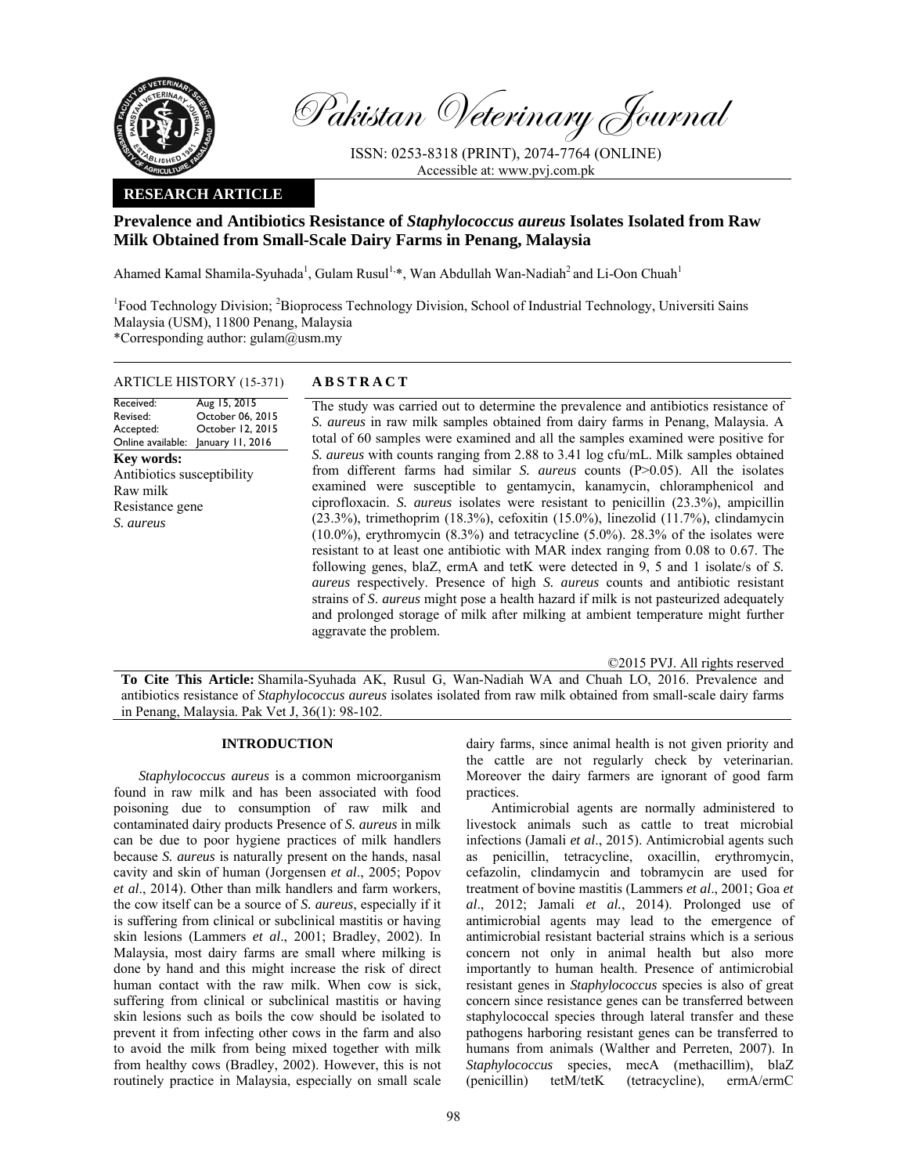

Pakistan Veterinary Journal

ISSN: 0253-8318 (PRINT), 2074-7764 (ONLINE) Accessible at: www.pvj.com.pk

## **RESEARCH ARTICLE**

# **Prevalence and Antibiotics Resistance of** *Staphylococcus aureus* **Isolates Isolated from Raw Milk Obtained from Small-Scale Dairy Farms in Penang, Malaysia**

Ahamed Kamal Shamila-Syuhada<sup>1</sup>, Gulam Rusul<sup>1,\*</sup>, Wan Abdullah Wan-Nadiah<sup>2</sup> and Li-Oon Chuah<sup>1</sup>

<sup>1</sup>Food Technology Division; <sup>2</sup>Bioprocess Technology Division, School of Industrial Technology, Universiti Sains Malaysia (USM), 11800 Penang, Malaysia \*Corresponding author: gulam@usm.my

# ARTICLE HISTORY (15-371) **ABSTRACT**

Aug 15, 2015

#### Revised: Accepted: Online available: January 11, 2016 October 06, 2015 October 12, 2015 **Key words:**  Antibiotics susceptibility Raw milk Resistance gene *S. aureus*

Received:

 The study was carried out to determine the prevalence and antibiotics resistance of *S. aureus* in raw milk samples obtained from dairy farms in Penang, Malaysia. A total of 60 samples were examined and all the samples examined were positive for *S. aureus* with counts ranging from 2.88 to 3.41 log cfu/mL. Milk samples obtained from different farms had similar *S. aureus* counts (P>0.05). All the isolates examined were susceptible to gentamycin, kanamycin, chloramphenicol and ciprofloxacin. *S. aureus* isolates were resistant to penicillin (23.3%), ampicillin (23.3%), trimethoprim (18.3%), cefoxitin (15.0%), linezolid (11.7%), clindamycin (10.0%), erythromycin (8.3%) and tetracycline (5.0%). 28.3% of the isolates were resistant to at least one antibiotic with MAR index ranging from 0.08 to 0.67. The following genes, blaZ, ermA and tetK were detected in 9, 5 and 1 isolate/s of *S. aureus* respectively. Presence of high *S. aureus* counts and antibiotic resistant strains of *S*. *aureus* might pose a health hazard if milk is not pasteurized adequately and prolonged storage of milk after milking at ambient temperature might further aggravate the problem.

©2015 PVJ. All rights reserved

**To Cite This Article:** Shamila-Syuhada AK, Rusul G, Wan-Nadiah WA and Chuah LO, 2016. Prevalence and antibiotics resistance of *Staphylococcus aureus* isolates isolated from raw milk obtained from small-scale dairy farms in Penang, Malaysia. Pak Vet J, 36(1): 98-102.

#### **INTRODUCTION**

*Staphylococcus aureus* is a common microorganism found in raw milk and has been associated with food poisoning due to consumption of raw milk and contaminated dairy products Presence of *S. aureus* in milk can be due to poor hygiene practices of milk handlers because *S. aureus* is naturally present on the hands, nasal cavity and skin of human (Jorgensen *et al*., 2005; Popov *et al*., 2014). Other than milk handlers and farm workers, the cow itself can be a source of *S. aureus*, especially if it is suffering from clinical or subclinical mastitis or having skin lesions (Lammers *et al*., 2001; Bradley, 2002). In Malaysia, most dairy farms are small where milking is done by hand and this might increase the risk of direct human contact with the raw milk. When cow is sick, suffering from clinical or subclinical mastitis or having skin lesions such as boils the cow should be isolated to prevent it from infecting other cows in the farm and also to avoid the milk from being mixed together with milk from healthy cows (Bradley, 2002). However, this is not routinely practice in Malaysia, especially on small scale

dairy farms, since animal health is not given priority and the cattle are not regularly check by veterinarian. Moreover the dairy farmers are ignorant of good farm practices.

Antimicrobial agents are normally administered to livestock animals such as cattle to treat microbial infections (Jamali *et al*., 2015). Antimicrobial agents such as penicillin, tetracycline, oxacillin, erythromycin, cefazolin, clindamycin and tobramycin are used for treatment of bovine mastitis (Lammers *et al*., 2001; Goa *et al*., 2012; Jamali *et al.*, 2014). Prolonged use of antimicrobial agents may lead to the emergence of antimicrobial resistant bacterial strains which is a serious concern not only in animal health but also more importantly to human health. Presence of antimicrobial resistant genes in *Staphylococcus* species is also of great concern since resistance genes can be transferred between staphylococcal species through lateral transfer and these pathogens harboring resistant genes can be transferred to humans from animals (Walther and Perreten, 2007). In *Staphylococcus* species, mecA (methacillim), blaZ (penicillin) tetM/tetK (tetracycline), ermA/ermC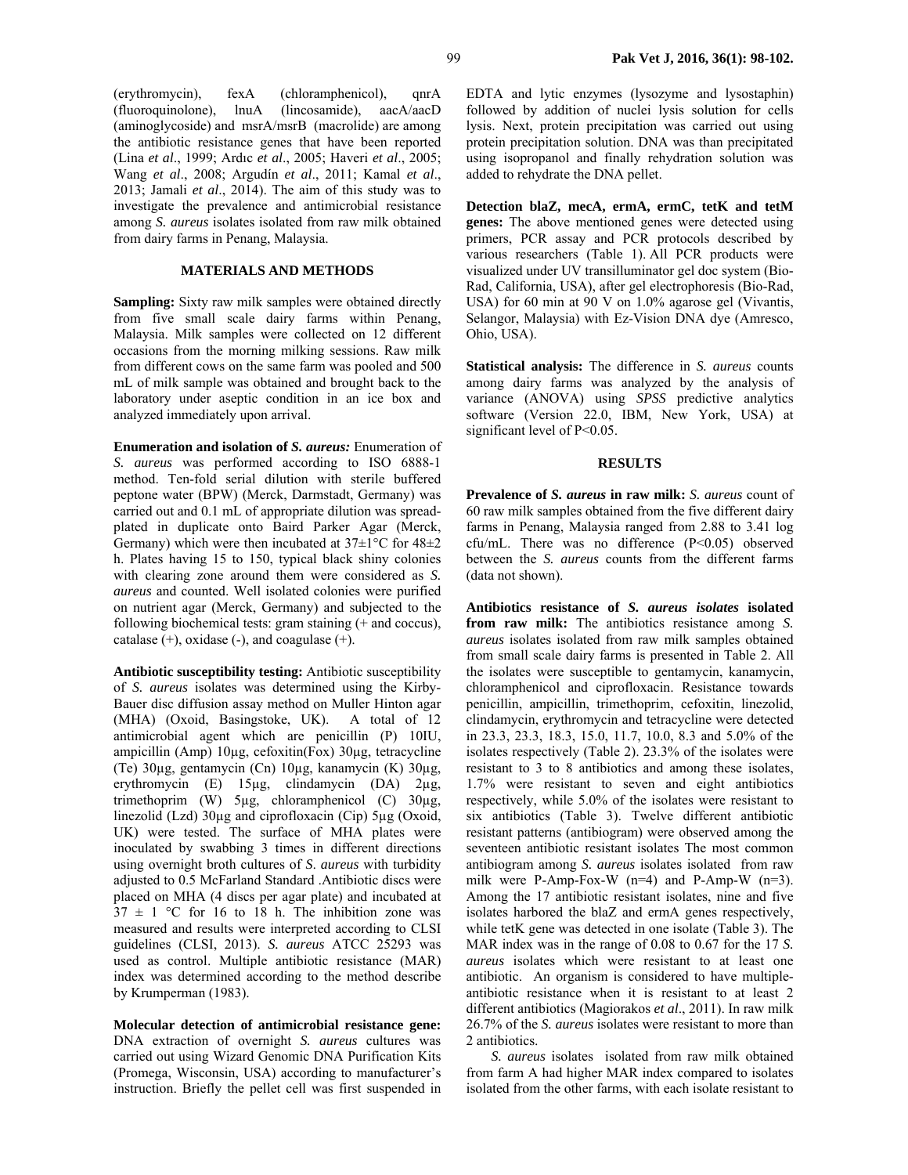(erythromycin), fexA (chloramphenicol), qnrA (fluoroquinolone), lnuA (lincosamide), aacA/aacD (aminoglycoside) and msrA/msrB (macrolide) are among the antibiotic resistance genes that have been reported (Lina *et al*., 1999; Ardıc *et al*., 2005; Haveri *et al*., 2005; Wang *et al*., 2008; Argudín *et al*., 2011; Kamal *et al*., 2013; Jamali *et al*., 2014). The aim of this study was to investigate the prevalence and antimicrobial resistance among *S. aureus* isolates isolated from raw milk obtained from dairy farms in Penang, Malaysia.

## **MATERIALS AND METHODS**

**Sampling:** Sixty raw milk samples were obtained directly from five small scale dairy farms within Penang, Malaysia. Milk samples were collected on 12 different occasions from the morning milking sessions. Raw milk from different cows on the same farm was pooled and 500 mL of milk sample was obtained and brought back to the laboratory under aseptic condition in an ice box and analyzed immediately upon arrival.

**Enumeration and isolation of** *S. aureus:* Enumeration of *S. aureus* was performed according to ISO 6888-1 method. Ten-fold serial dilution with sterile buffered peptone water (BPW) (Merck, Darmstadt, Germany) was carried out and 0.1 mL of appropriate dilution was spreadplated in duplicate onto Baird Parker Agar (Merck, Germany) which were then incubated at  $37\pm1\,^{\circ}\text{C}$  for  $48\pm2$ h. Plates having 15 to 150, typical black shiny colonies with clearing zone around them were considered as *S. aureus* and counted. Well isolated colonies were purified on nutrient agar (Merck, Germany) and subjected to the following biochemical tests: gram staining (+ and coccus), catalase  $(+)$ , oxidase  $(-)$ , and coagulase  $(+)$ .

**Antibiotic susceptibility testing:** Antibiotic susceptibility of *S. aureus* isolates was determined using the Kirby-Bauer disc diffusion assay method on Muller Hinton agar (MHA) (Oxoid, Basingstoke, UK). A total of 12 antimicrobial agent which are penicillin (P) 10IU, ampicillin (Amp) 10µg, cefoxitin(Fox) 30µg, tetracycline (Te) 30µg, gentamycin (Cn) 10µg, kanamycin (K) 30µg, erythromycin (E) 15µg, clindamycin (DA) 2µg, trimethoprim (W) 5µg, chloramphenicol (C) 30µg, linezolid (Lzd) 30µg and ciprofloxacin (Cip) 5µg (Oxoid, UK) were tested. The surface of MHA plates were inoculated by swabbing 3 times in different directions using overnight broth cultures of *S*. *aureus* with turbidity adjusted to 0.5 McFarland Standard .Antibiotic discs were placed on MHA (4 discs per agar plate) and incubated at  $37 \pm 1$  °C for 16 to 18 h. The inhibition zone was measured and results were interpreted according to CLSI guidelines (CLSI, 2013). *S. aureus* ATCC 25293 was used as control. Multiple antibiotic resistance (MAR) index was determined according to the method describe by Krumperman (1983).

**Molecular detection of antimicrobial resistance gene:**  DNA extraction of overnight *S. aureus* cultures was carried out using Wizard Genomic DNA Purification Kits (Promega, Wisconsin, USA) according to manufacturer's instruction. Briefly the pellet cell was first suspended in

EDTA and lytic enzymes (lysozyme and lysostaphin) followed by addition of nuclei lysis solution for cells lysis. Next, protein precipitation was carried out using protein precipitation solution. DNA was than precipitated using isopropanol and finally rehydration solution was added to rehydrate the DNA pellet.

**Detection blaZ, mecA, ermA, ermC, tetK and tetM genes:** The above mentioned genes were detected using primers, PCR assay and PCR protocols described by various researchers (Table 1). All PCR products were visualized under UV transilluminator gel doc system (Bio-Rad, California, USA), after gel electrophoresis (Bio-Rad, USA) for 60 min at 90 V on 1.0% agarose gel (Vivantis, Selangor, Malaysia) with Ez-Vision DNA dye (Amresco, Ohio, USA).

**Statistical analysis:** The difference in *S. aureus* counts among dairy farms was analyzed by the analysis of variance (ANOVA) using *SPSS* predictive analytics software (Version 22.0, IBM, New York, USA) at significant level of P<0.05.

#### **RESULTS**

**Prevalence of** *S. aureus* **in raw milk:** *S. aureus* count of 60 raw milk samples obtained from the five different dairy farms in Penang, Malaysia ranged from 2.88 to 3.41 log cfu/mL. There was no difference (P<0.05) observed between the *S. aureus* counts from the different farms (data not shown).

**Antibiotics resistance of** *S. aureus isolates* **isolated from raw milk:** The antibiotics resistance among *S. aureus* isolates isolated from raw milk samples obtained from small scale dairy farms is presented in Table 2. All the isolates were susceptible to gentamycin, kanamycin, chloramphenicol and ciprofloxacin. Resistance towards penicillin, ampicillin, trimethoprim, cefoxitin, linezolid, clindamycin, erythromycin and tetracycline were detected in 23.3, 23.3, 18.3, 15.0, 11.7, 10.0, 8.3 and 5.0% of the isolates respectively (Table 2). 23.3% of the isolates were resistant to 3 to 8 antibiotics and among these isolates, 1.7% were resistant to seven and eight antibiotics respectively, while 5.0% of the isolates were resistant to six antibiotics (Table 3). Twelve different antibiotic resistant patterns (antibiogram) were observed among the seventeen antibiotic resistant isolates The most common antibiogram among *S. aureus* isolates isolated from raw milk were P-Amp-Fox-W  $(n=4)$  and P-Amp-W  $(n=3)$ . Among the 17 antibiotic resistant isolates, nine and five isolates harbored the blaZ and ermA genes respectively, while tetK gene was detected in one isolate (Table 3). The MAR index was in the range of 0.08 to 0.67 for the 17 *S. aureus* isolates which were resistant to at least one antibiotic. An organism is considered to have multipleantibiotic resistance when it is resistant to at least 2 different antibiotics (Magiorakos *et al*., 2011). In raw milk 26.7% of the *S. aureus* isolates were resistant to more than 2 antibiotics.

*S. aureus* isolates isolated from raw milk obtained from farm A had higher MAR index compared to isolates isolated from the other farms, with each isolate resistant to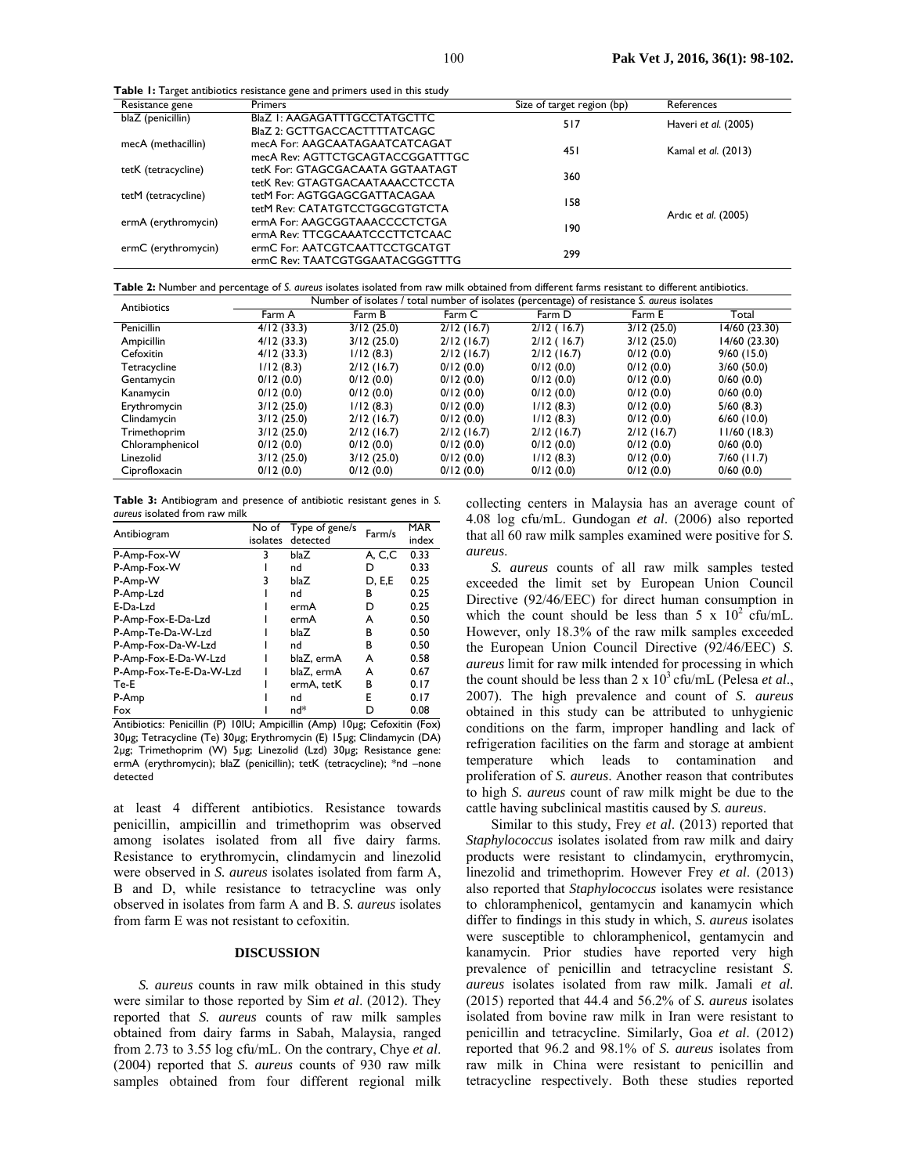**Table 1:** Target antibiotics resistance gene and primers used in this study

|                     | . .                                 |                            |                      |  |
|---------------------|-------------------------------------|----------------------------|----------------------|--|
| Resistance gene     | <b>Primers</b>                      | Size of target region (bp) | References           |  |
| blaZ (penicillin)   | <b>BlaZ I: AAGAGATTTGCCTATGCTTC</b> | 517                        | Haveri et al. (2005) |  |
|                     | BlaZ 2: GCTTGACCACTTTTATCAGC        |                            |                      |  |
| mecA (methacillin)  | mecA For: AAGCAATAGAATCATCAGAT      | 45 I                       |                      |  |
|                     | mecA Rev: AGTTCTGCAGTACCGGATTTGC    |                            | Kamal et al. (2013)  |  |
| tetK (tetracycline) | tetK For: GTAGCGACAATA GGTAATAGT    |                            |                      |  |
|                     | tetK Rev: GTAGTGACAATAAACCTCCTA     | 360                        |                      |  |
| tetM (tetracycline) | tetM For: AGTGGAGCGATTACAGAA        |                            |                      |  |
|                     | tetM Rev: CATATGTCCTGGCGTGTCTA      | 158                        |                      |  |
| ermA (erythromycin) | ermA For: AAGCGGTAAACCCCTCTGA       |                            | Ardic et al. (2005)  |  |
|                     | ermA Rev: TTCGCAAATCCCTTCTCAAC      | 190                        |                      |  |
| ermC (erythromycin) | ermC For: AATCGTCAATTCCTGCATGT      |                            |                      |  |
|                     | ermC Rev: TAATCGTGGAATACGGGTTTG     | 299                        |                      |  |
|                     |                                     |                            |                      |  |

**Table 2:** Number and percentage of *S. aureus* isolates isolated from raw milk obtained from different farms resistant to different antibiotics.

| Antibiotics     | Number of isolates / total number of isolates (percentage) of resistance S. aureus isolates |            |            |            |            |               |
|-----------------|---------------------------------------------------------------------------------------------|------------|------------|------------|------------|---------------|
|                 | Farm A                                                                                      | Farm B     | Farm C     | Farm D     | Farm E     | Total         |
| Penicillin      | 4/12(33.3)                                                                                  | 3/12(25.0) | 2/12(16.7) | 2/12(16.7) | 3/12(25.0) | 14/60 (23.30) |
| Ampicillin      | 4/12(33.3)                                                                                  | 3/12(25.0) | 2/12(16.7) | 2/12(16.7) | 3/12(25.0) | 14/60 (23.30) |
| Cefoxitin       | 4/12(33.3)                                                                                  | 1/12(8.3)  | 2/12(16.7) | 2/12(16.7) | 0/12(0.0)  | $9/60$ (15.0) |
| Tetracycline    | 1/12(8.3)                                                                                   | 2/12(16.7) | 0/12(0.0)  | 0/12(0.0)  | 0/12(0.0)  | 3/60(50.0)    |
| Gentamycin      | 0/12(0.0)                                                                                   | 0/12(0.0)  | 0/12(0.0)  | 0/12(0.0)  | 0/12(0.0)  | 0/60(0.0)     |
| Kanamycin       | 0/12(0.0)                                                                                   | 0/12(0.0)  | 0/12(0.0)  | 0/12(0.0)  | 0/12(0.0)  | 0/60(0.0)     |
| Erythromycin    | 3/12(25.0)                                                                                  | 1/12(8.3)  | 0/12(0.0)  | 1/12(8.3)  | 0/12(0.0)  | 5/60(8.3)     |
| Clindamycin     | 3/12(25.0)                                                                                  | 2/12(16.7) | 0/12(0.0)  | 1/12(8.3)  | 0/12(0.0)  | $6/60$ (10.0) |
| Trimethoprim    | 3/12(25.0)                                                                                  | 2/12(16.7) | 2/12(16.7) | 2/12(16.7) | 2/12(16.7) | 11/60(18.3)   |
| Chloramphenicol | 0/12(0.0)                                                                                   | 0/12(0.0)  | 0/12(0.0)  | 0/12(0.0)  | 0/12(0.0)  | 0/60(0.0)     |
| Linezolid       | 3/12(25.0)                                                                                  | 3/12(25.0) | 0/12(0.0)  | 1/12(8.3)  | 0/12(0.0)  | $7/60$ (11.7) |
| Ciprofloxacin   | 0/12(0.0)                                                                                   | 0/12(0.0)  | 0/12(0.0)  | 0/12(0.0)  | 0/12(0.0)  | 0/60(0.0)     |

| <b>Table 3:</b> Antibiogram and presence of antibiotic resistant genes in S. |  |  |  |
|------------------------------------------------------------------------------|--|--|--|
| aureus isolated from raw milk                                                |  |  |  |

| Antibiogram             | No of<br>isolates | Type of gene/s<br>detected | Farm/s | <b>MAR</b><br>index |
|-------------------------|-------------------|----------------------------|--------|---------------------|
| P-Amp-Fox-W             | 3                 | blaZ                       | A, C,C | 0.33                |
| P-Amp-Fox-W             |                   | nd                         | D      | 0.33                |
| P-Amp-W                 | 3                 | blaZ                       | D, E,E | 0.25                |
| P-Amp-Lzd               |                   | nd                         | в      | 0.25                |
| E-Da-Lzd                |                   | ermA                       | D      | 0.25                |
| P-Amp-Fox-E-Da-Lzd      |                   | ermA                       | А      | 0.50                |
| P-Amp-Te-Da-W-Lzd       |                   | blaZ                       | в      | 0.50                |
| P-Amp-Fox-Da-W-Lzd      |                   | nd                         | В      | 0.50                |
| P-Amp-Fox-E-Da-W-Lzd    |                   | blaZ, ermA                 | A      | 0.58                |
| P-Amp-Fox-Te-E-Da-W-Lzd |                   | blaZ. ermA                 | A      | 0.67                |
| Te-E                    |                   | ermA, tetK                 | в      | 0.17                |
| P-Amp                   |                   | nd                         | Е      | 0.17                |
| Fox                     |                   | $nd*$                      | D      | 0.08                |

Antibiotics: Penicillin (P) 10IU; Ampicillin (Amp) 10µg; Cefoxitin (Fox) 30µg; Tetracycline (Te) 30µg; Erythromycin (E) 15µg; Clindamycin (DA) 2µg; Trimethoprim (W) 5µg; Linezolid (Lzd) 30µg; Resistance gene: ermA (erythromycin); blaZ (penicillin); tetK (tetracycline); \*nd –none detected

at least 4 different antibiotics. Resistance towards penicillin, ampicillin and trimethoprim was observed among isolates isolated from all five dairy farms. Resistance to erythromycin, clindamycin and linezolid were observed in *S. aureus* isolates isolated from farm A, B and D, while resistance to tetracycline was only observed in isolates from farm A and B. *S. aureus* isolates from farm E was not resistant to cefoxitin.

## **DISCUSSION**

*S. aureus* counts in raw milk obtained in this study were similar to those reported by Sim *et al*. (2012). They reported that *S. aureus* counts of raw milk samples obtained from dairy farms in Sabah, Malaysia, ranged from 2.73 to 3.55 log cfu/mL. On the contrary, Chye *et al*. (2004) reported that *S. aureus* counts of 930 raw milk samples obtained from four different regional milk collecting centers in Malaysia has an average count of 4.08 log cfu/mL. Gundogan *et al*. (2006) also reported that all 60 raw milk samples examined were positive for *S. aureus*.

*S. aureus* counts of all raw milk samples tested exceeded the limit set by European Union Council Directive (92/46/EEC) for direct human consumption in which the count should be less than  $5 \times 10^2$  cfu/mL. However, only 18.3% of the raw milk samples exceeded the European Union Council Directive (92/46/EEC) *S. aureus* limit for raw milk intended for processing in which the count should be less than  $2 \times 10^3$  cfu/mL (Pelesa *et al.*, 2007). The high prevalence and count of *S. aureus* obtained in this study can be attributed to unhygienic conditions on the farm, improper handling and lack of refrigeration facilities on the farm and storage at ambient temperature which leads to contamination and proliferation of *S. aureus*. Another reason that contributes to high *S. aureus* count of raw milk might be due to the cattle having subclinical mastitis caused by *S. aureus*.

Similar to this study, Frey *et al*. (2013) reported that *Staphylococcus* isolates isolated from raw milk and dairy products were resistant to clindamycin, erythromycin, linezolid and trimethoprim. However Frey *et al*. (2013) also reported that *Staphylococcus* isolates were resistance to chloramphenicol, gentamycin and kanamycin which differ to findings in this study in which, *S. aureus* isolates were susceptible to chloramphenicol, gentamycin and kanamycin. Prior studies have reported very high prevalence of penicillin and tetracycline resistant *S. aureus* isolates isolated from raw milk. Jamali *et al.* (2015) reported that 44.4 and 56.2% of *S. aureus* isolates isolated from bovine raw milk in Iran were resistant to penicillin and tetracycline. Similarly, Goa *et al*. (2012) reported that 96.2 and 98.1% of *S. aureus* isolates from raw milk in China were resistant to penicillin and tetracycline respectively. Both these studies reported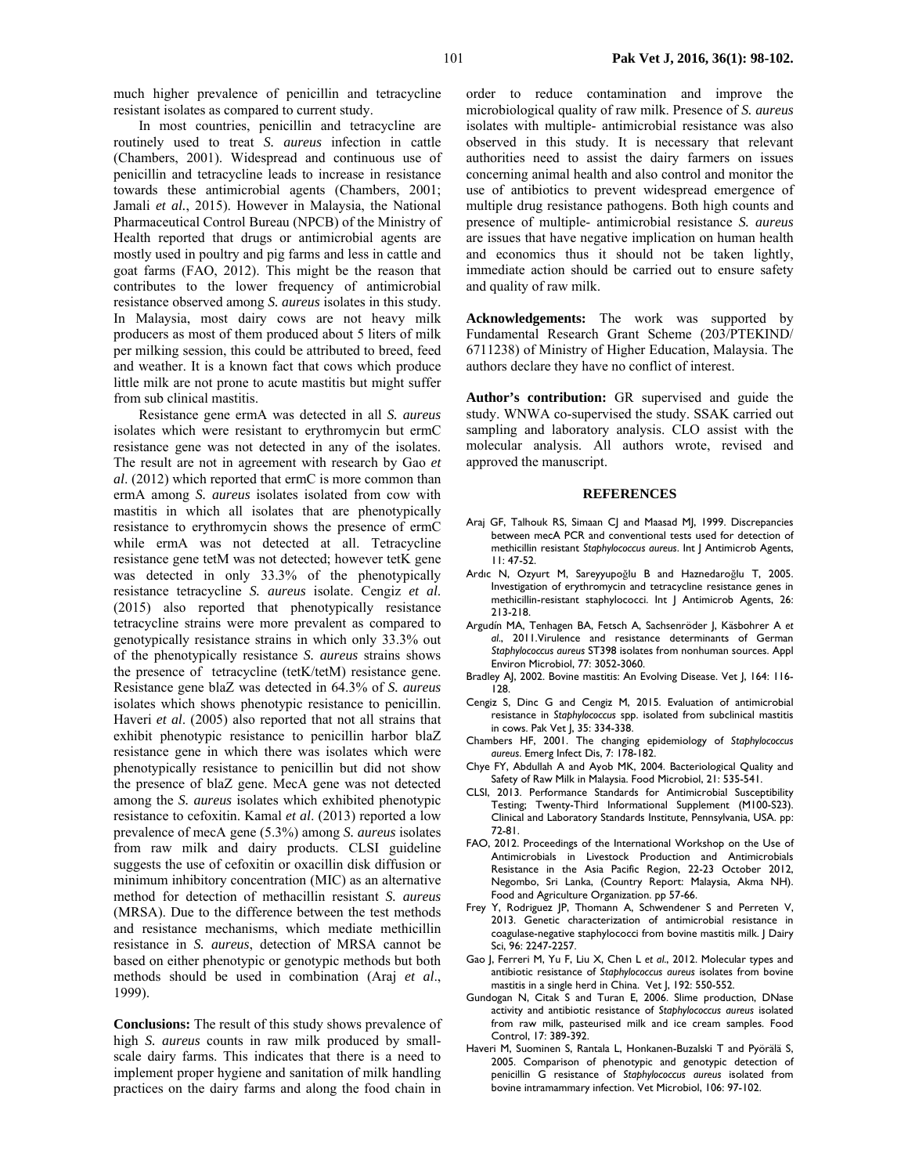much higher prevalence of penicillin and tetracycline resistant isolates as compared to current study.

In most countries, penicillin and tetracycline are routinely used to treat *S. aureus* infection in cattle (Chambers, 2001). Widespread and continuous use of penicillin and tetracycline leads to increase in resistance towards these antimicrobial agents (Chambers, 2001; Jamali *et al.*, 2015). However in Malaysia, the National Pharmaceutical Control Bureau (NPCB) of the Ministry of Health reported that drugs or antimicrobial agents are mostly used in poultry and pig farms and less in cattle and goat farms (FAO, 2012). This might be the reason that contributes to the lower frequency of antimicrobial resistance observed among *S. aureus* isolates in this study. In Malaysia, most dairy cows are not heavy milk producers as most of them produced about 5 liters of milk per milking session, this could be attributed to breed, feed and weather. It is a known fact that cows which produce little milk are not prone to acute mastitis but might suffer from sub clinical mastitis.

Resistance gene ermA was detected in all *S. aureus* isolates which were resistant to erythromycin but ermC resistance gene was not detected in any of the isolates. The result are not in agreement with research by Gao *et al*. (2012) which reported that ermC is more common than ermA among *S. aureus* isolates isolated from cow with mastitis in which all isolates that are phenotypically resistance to erythromycin shows the presence of ermC while ermA was not detected at all. Tetracycline resistance gene tetM was not detected; however tetK gene was detected in only 33.3% of the phenotypically resistance tetracycline *S. aureus* isolate. Cengiz *et al*. (2015) also reported that phenotypically resistance tetracycline strains were more prevalent as compared to genotypically resistance strains in which only 33.3% out of the phenotypically resistance *S. aureus* strains shows the presence of tetracycline (tetK/tetM) resistance gene. Resistance gene blaZ was detected in 64.3% of *S. aureus* isolates which shows phenotypic resistance to penicillin. Haveri *et al*. (2005) also reported that not all strains that exhibit phenotypic resistance to penicillin harbor blaZ resistance gene in which there was isolates which were phenotypically resistance to penicillin but did not show the presence of blaZ gene. MecA gene was not detected among the *S. aureus* isolates which exhibited phenotypic resistance to cefoxitin. Kamal *et al*. (2013) reported a low prevalence of mecA gene (5.3%) among *S. aureus* isolates from raw milk and dairy products. CLSI guideline suggests the use of cefoxitin or oxacillin disk diffusion or minimum inhibitory concentration (MIC) as an alternative method for detection of methacillin resistant *S. aureus* (MRSA). Due to the difference between the test methods and resistance mechanisms, which mediate methicillin resistance in *S. aureus*, detection of MRSA cannot be based on either phenotypic or genotypic methods but both methods should be used in combination (Araj *et al*., 1999).

**Conclusions:** The result of this study shows prevalence of high *S. aureus* counts in raw milk produced by smallscale dairy farms. This indicates that there is a need to implement proper hygiene and sanitation of milk handling practices on the dairy farms and along the food chain in

order to reduce contamination and improve the microbiological quality of raw milk. Presence of *S. aureus* isolates with multiple- antimicrobial resistance was also observed in this study. It is necessary that relevant authorities need to assist the dairy farmers on issues concerning animal health and also control and monitor the use of antibiotics to prevent widespread emergence of multiple drug resistance pathogens. Both high counts and presence of multiple- antimicrobial resistance *S. aureus* are issues that have negative implication on human health and economics thus it should not be taken lightly, immediate action should be carried out to ensure safety and quality of raw milk.

**Acknowledgements:** The work was supported by Fundamental Research Grant Scheme (203/PTEKIND/ 6711238) of Ministry of Higher Education, Malaysia. The authors declare they have no conflict of interest.

**Author's contribution:** GR supervised and guide the study. WNWA co-supervised the study. SSAK carried out sampling and laboratory analysis. CLO assist with the molecular analysis. All authors wrote, revised and approved the manuscript.

#### **REFERENCES**

- Araj GF, Talhouk RS, Simaan CJ and Maasad MJ, 1999. Discrepancies between mecA PCR and conventional tests used for detection of methicillin resistant *Staphylococcus aureus*. Int J Antimicrob Agents, 11: 47-52.
- Ardıc N, Ozyurt M, Sareyyupoğlu B and Haznedaroğlu T, 2005. Investigation of erythromycin and tetracycline resistance genes in methicillin-resistant staphylococci. Int J Antimicrob Agents, 26: 213-218.
- Argudín MA, Tenhagen BA, Fetsch A, Sachsenröder J, Käsbohrer A *et al*., 2011.Virulence and resistance determinants of German *Staphylococcus aureus* ST398 isolates from nonhuman sources. Appl Environ Microbiol, 77: 3052-3060.
- Bradley AJ, 2002. Bovine mastitis: An Evolving Disease. Vet J, 164: 116- 128.
- Cengiz S, Dinc G and Cengiz M, 2015. Evaluation of antimicrobial resistance in *Staphylococcus* spp. isolated from subclinical mastitis in cows. Pak Vet J, 35: 334-338.
- Chambers HF, 2001. The changing epidemiology of *Staphylococcus aureus*. Emerg Infect Dis, 7: 178-182.
- Chye FY, Abdullah A and Ayob MK, 2004. Bacteriological Quality and Safety of Raw Milk in Malaysia. Food Microbiol, 21: 535-541.
- CLSI, 2013. Performance Standards for Antimicrobial Susceptibility Testing; Twenty-Third Informational Supplement (M100-S23). Clinical and Laboratory Standards Institute, Pennsylvania, USA. pp: 72-81.
- FAO, 2012. Proceedings of the International Workshop on the Use of Antimicrobials in Livestock Production and Antimicrobials Resistance in the Asia Pacific Region, 22-23 October 2012, Negombo, Sri Lanka, (Country Report: Malaysia, Akma NH). Food and Agriculture Organization. pp 57-66.
- Frey Y, Rodriguez JP, Thomann A, Schwendener S and Perreten V, 2013. Genetic characterization of antimicrobial resistance in coagulase-negative staphylococci from bovine mastitis milk. J Dairy Sci, 96: 2247-2257.
- Gao J, Ferreri M, Yu F, Liu X, Chen L *et al*., 2012. Molecular types and antibiotic resistance of *Staphylococcus aureus* isolates from bovine mastitis in a single herd in China. Vet J, 192: 550-552.
- Gundogan N, Citak S and Turan E, 2006. Slime production, DNase activity and antibiotic resistance of *Staphylococcus aureus* isolated from raw milk, pasteurised milk and ice cream samples. Food Control, 17: 389-392.
- Haveri M, Suominen S, Rantala L, Honkanen-Buzalski T and Pyörälä S, 2005. Comparison of phenotypic and genotypic detection of penicillin G resistance of *Staphylococcus aureus* isolated from bovine intramammary infection. Vet Microbiol, 106: 97-102.